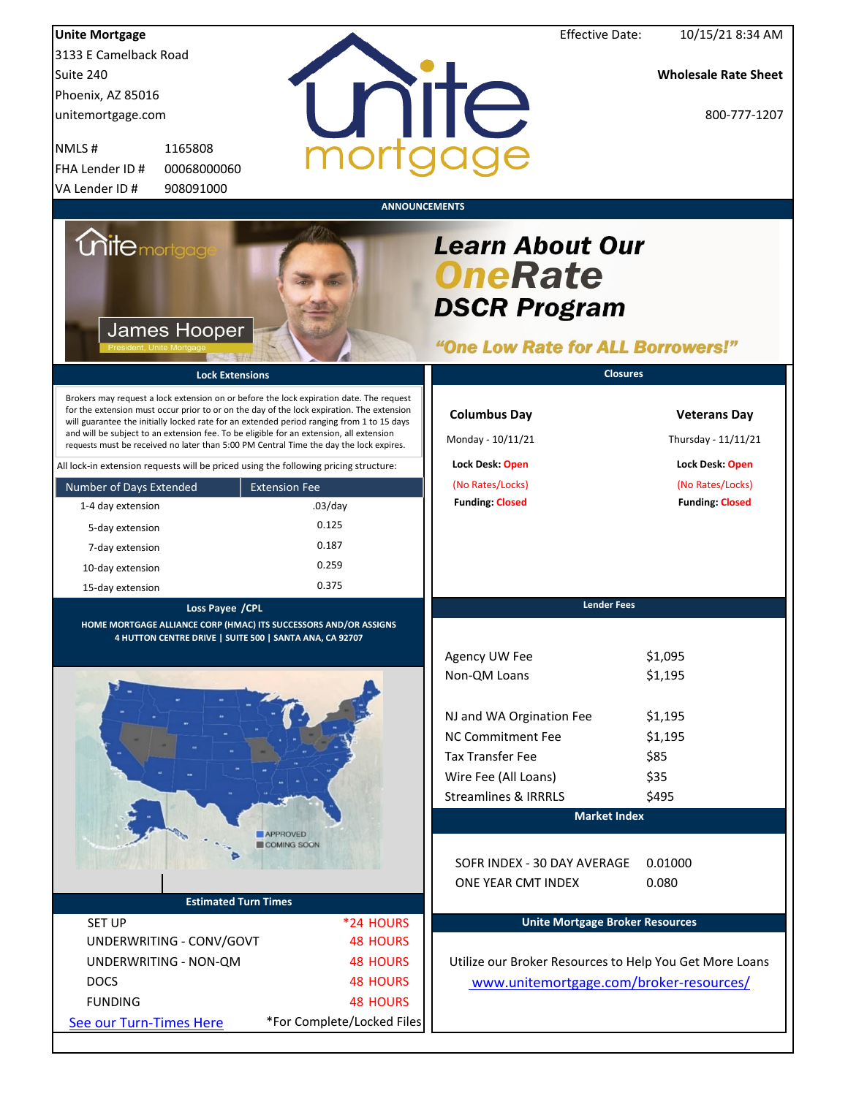|                                                                                                                                                                                                                                                                                                                                                                                                                                                                        |                            | <b>Effective Date:</b>                                                                               |                                            |
|------------------------------------------------------------------------------------------------------------------------------------------------------------------------------------------------------------------------------------------------------------------------------------------------------------------------------------------------------------------------------------------------------------------------------------------------------------------------|----------------------------|------------------------------------------------------------------------------------------------------|--------------------------------------------|
| <b>Unite Mortgage</b><br>3133 E Camelback Road                                                                                                                                                                                                                                                                                                                                                                                                                         |                            |                                                                                                      | 10/15/21 8:34 AM                           |
| Suite 240                                                                                                                                                                                                                                                                                                                                                                                                                                                              |                            |                                                                                                      | <b>Wholesale Rate Sheet</b>                |
| Phoenix, AZ 85016                                                                                                                                                                                                                                                                                                                                                                                                                                                      |                            |                                                                                                      |                                            |
| unitemortgage.com                                                                                                                                                                                                                                                                                                                                                                                                                                                      |                            | nite                                                                                                 | 800-777-1207                               |
|                                                                                                                                                                                                                                                                                                                                                                                                                                                                        |                            |                                                                                                      |                                            |
| NMLS#<br>1165808                                                                                                                                                                                                                                                                                                                                                                                                                                                       |                            |                                                                                                      |                                            |
| FHA Lender ID #<br>00068000060                                                                                                                                                                                                                                                                                                                                                                                                                                         |                            |                                                                                                      |                                            |
| 908091000<br>VA Lender ID#                                                                                                                                                                                                                                                                                                                                                                                                                                             |                            |                                                                                                      |                                            |
|                                                                                                                                                                                                                                                                                                                                                                                                                                                                        |                            | <b>ANNOUNCEMENTS</b>                                                                                 |                                            |
| <i><b>Unitemortgag</b></i><br>James Hooper                                                                                                                                                                                                                                                                                                                                                                                                                             |                            | <b>Learn About Our</b><br><b>OneRate</b><br><b>DSCR Program</b><br>"One Low Rate for ALL Borrowers!" |                                            |
| <b>Lock Extensions</b>                                                                                                                                                                                                                                                                                                                                                                                                                                                 |                            | <b>Closures</b>                                                                                      |                                            |
| Brokers may request a lock extension on or before the lock expiration date. The request<br>for the extension must occur prior to or on the day of the lock expiration. The extension<br>will guarantee the initially locked rate for an extended period ranging from 1 to 15 days<br>and will be subject to an extension fee. To be eligible for an extension, all extension<br>requests must be received no later than 5:00 PM Central Time the day the lock expires. |                            | <b>Columbus Day</b><br>Monday - 10/11/21                                                             | <b>Veterans Day</b><br>Thursday - 11/11/21 |
| All lock-in extension requests will be priced using the following pricing structure:                                                                                                                                                                                                                                                                                                                                                                                   |                            | Lock Desk: Open                                                                                      | Lock Desk: Open                            |
| Number of Days Extended                                                                                                                                                                                                                                                                                                                                                                                                                                                | <b>Extension Fee</b>       | (No Rates/Locks)                                                                                     | (No Rates/Locks)                           |
| 1-4 day extension                                                                                                                                                                                                                                                                                                                                                                                                                                                      | $.03$ /day                 | <b>Funding: Closed</b>                                                                               | <b>Funding: Closed</b>                     |
| 5-day extension                                                                                                                                                                                                                                                                                                                                                                                                                                                        | 0.125                      |                                                                                                      |                                            |
| 7-day extension                                                                                                                                                                                                                                                                                                                                                                                                                                                        | 0.187                      |                                                                                                      |                                            |
| 10-day extension                                                                                                                                                                                                                                                                                                                                                                                                                                                       | 0.259                      |                                                                                                      |                                            |
| 15-day extension                                                                                                                                                                                                                                                                                                                                                                                                                                                       | 0.375                      |                                                                                                      |                                            |
| Loss Payee / CPL<br>HOME MORTGAGE ALLIANCE CORP (HMAC) ITS SUCCESSORS AND/OR ASSIGNS<br><u>4 HUTTON CENTRE DRIVE   SUITE 500   SANTA ANA, CA 92707</u>                                                                                                                                                                                                                                                                                                                 |                            | <b>Lender Fees</b><br>Agency UW Fee<br>Non-QM Loans                                                  | \$1,095<br>\$1,195                         |
|                                                                                                                                                                                                                                                                                                                                                                                                                                                                        |                            |                                                                                                      | \$1,195                                    |
|                                                                                                                                                                                                                                                                                                                                                                                                                                                                        |                            | NJ and WA Orgination Fee<br><b>NC Commitment Fee</b>                                                 | \$1,195                                    |
|                                                                                                                                                                                                                                                                                                                                                                                                                                                                        |                            | <b>Tax Transfer Fee</b>                                                                              | \$85                                       |
|                                                                                                                                                                                                                                                                                                                                                                                                                                                                        |                            | Wire Fee (All Loans)                                                                                 | \$35                                       |
|                                                                                                                                                                                                                                                                                                                                                                                                                                                                        |                            | <b>Streamlines &amp; IRRRLS</b>                                                                      | \$495                                      |
|                                                                                                                                                                                                                                                                                                                                                                                                                                                                        |                            | <b>Market Index</b>                                                                                  |                                            |
|                                                                                                                                                                                                                                                                                                                                                                                                                                                                        | APPROVED                   |                                                                                                      |                                            |
|                                                                                                                                                                                                                                                                                                                                                                                                                                                                        | COMING SOON                | SOFR INDEX - 30 DAY AVERAGE<br>ONE YEAR CMT INDEX                                                    | 0.01000<br>0.080                           |
| <b>Estimated Turn Times</b>                                                                                                                                                                                                                                                                                                                                                                                                                                            |                            |                                                                                                      |                                            |
| <b>SET UP</b>                                                                                                                                                                                                                                                                                                                                                                                                                                                          | *24 HOURS                  | <b>Unite Mortgage Broker Resources</b>                                                               |                                            |
| UNDERWRITING - CONV/GOVT                                                                                                                                                                                                                                                                                                                                                                                                                                               | <b>48 HOURS</b>            |                                                                                                      |                                            |
| UNDERWRITING - NON-QM                                                                                                                                                                                                                                                                                                                                                                                                                                                  | <b>48 HOURS</b>            | Utilize our Broker Resources to Help You Get More Loans                                              |                                            |
| <b>DOCS</b>                                                                                                                                                                                                                                                                                                                                                                                                                                                            | <b>48 HOURS</b>            | www.unitemortgage.com/broker-resources/                                                              |                                            |
| <b>FUNDING</b>                                                                                                                                                                                                                                                                                                                                                                                                                                                         | <b>48 HOURS</b>            |                                                                                                      |                                            |
| See our Turn-Times Here                                                                                                                                                                                                                                                                                                                                                                                                                                                | *For Complete/Locked Files |                                                                                                      |                                            |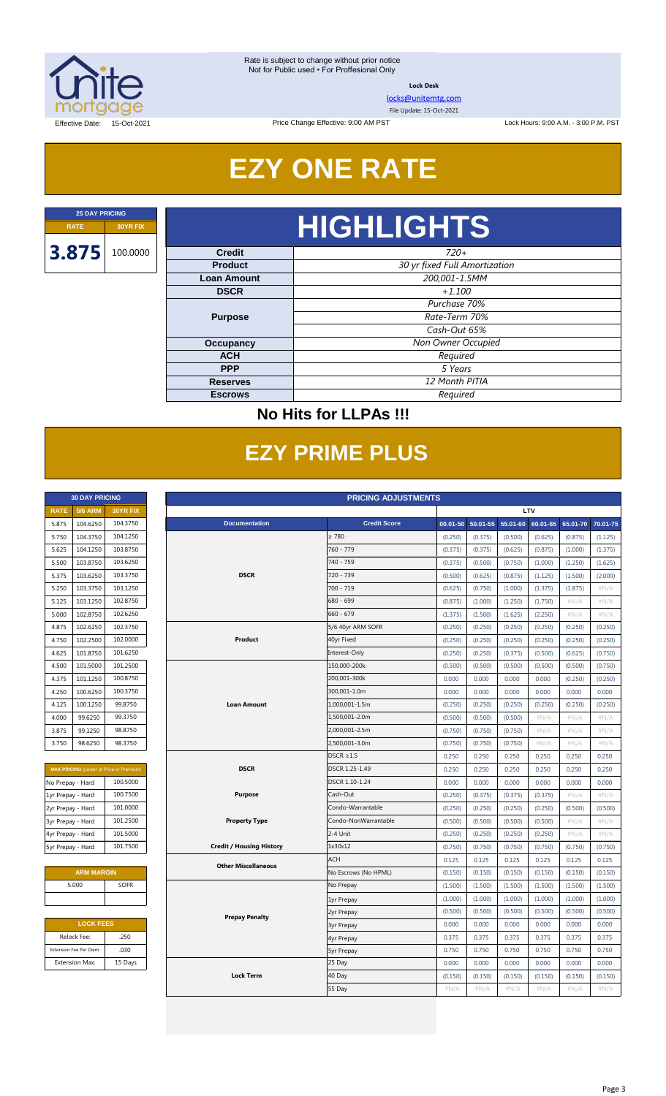

**Lock Desk**

[locks@unitemtg.com](mailto:locks@unitemtg.com)

File Update: 15-Oct-2021

Lock Hours: 9:00 A.M. - 3:00 P.M. PST

Effective Date: 15-Oct-2021

## **EZY ONE RATE**

Price Change Effective: 9:00 AM PST

# **RATE 30YR FIX HIGHLIGHTS**

| <b>Credit</b>      | $720+$                        |  |  |
|--------------------|-------------------------------|--|--|
| <b>Product</b>     | 30 yr fixed Full Amortization |  |  |
| <b>Loan Amount</b> | 200,001-1.5MM                 |  |  |
| <b>DSCR</b>        | $+1.100$                      |  |  |
|                    | Purchase 70%                  |  |  |
| <b>Purpose</b>     | Rate-Term 70%                 |  |  |
|                    | Cash-Out 65%                  |  |  |
| <b>Occupancy</b>   | Non Owner Occupied            |  |  |
| <b>ACH</b>         | Required                      |  |  |
| <b>PPP</b>         | 5 Years                       |  |  |
| <b>Reserves</b>    | 12 Month PITIA                |  |  |
| <b>Escrows</b>     | Required                      |  |  |

### **No Hits for LLPAs !!!**

## **EZY PRIME PLUS**

|             | <b>30 DAY PRICING</b> |                 |
|-------------|-----------------------|-----------------|
| <b>RATE</b> | <b>5/6 ARM</b>        | <b>30YR FIX</b> |
| 5.875       | 104.6250              | 104.3750        |
| 5.750       | 104.3750              | 104.1250        |
| 5.625       | 104.1250              | 103.8750        |
| 5.500       | 103.8750              | 103.6250        |
| 5.375       | 103.6250              | 103.3750        |
| 5.250       | 103.3750              | 103.1250        |
| 5.125       | 103.1250              | 102.8750        |
| 5.000       | 102.8750              | 102.6250        |
| 4.875       | 102.6250              | 1023750         |
| 4.750       | 102.2500              | 102,0000        |
| 4.625       | 101.8750              | 101.6250        |
| 4.500       | 101.5000              | 101.2500        |
| 4.375       | 101.1250              | 100.8750        |
| 4.250       | 100.6250              | 100.3750        |
| 4.125       | 100.1250              | 99.8750         |
| 4.000       | 99.6250               | 99.3750         |
| 3.875       | 99.1250               | 98.8750         |
| 3.750       | 98.6250               | 98.3750         |

| <b>MAX PRICING</b> (Lower of Price or Premium) |          |  |  |  |  |  |
|------------------------------------------------|----------|--|--|--|--|--|
| No Prepay - Hard                               | 100.5000 |  |  |  |  |  |
| 1yr Prepay - Hard                              | 100.7500 |  |  |  |  |  |
| 2yr Prepay - Hard                              | 101.0000 |  |  |  |  |  |
| 3yr Prepay - Hard                              | 101.2500 |  |  |  |  |  |
| 4yr Prepay - Hard                              | 101.5000 |  |  |  |  |  |
| 5yr Prepay - Hard                              | 101.7500 |  |  |  |  |  |

| <b>ARM MARGIN</b> |             |  |  |  |  |  |
|-------------------|-------------|--|--|--|--|--|
| 5.000             | <b>SOFR</b> |  |  |  |  |  |
|                   |             |  |  |  |  |  |

| <b>LOCK FEES</b>        |         |  |  |  |  |  |
|-------------------------|---------|--|--|--|--|--|
| Relock Fee:             | .250    |  |  |  |  |  |
| Extension Fee Per Diem: | .030    |  |  |  |  |  |
| <b>Extension Max:</b>   | 15 Days |  |  |  |  |  |

|                   | <b>30 DAY PRICING</b><br><b>PRICING ADJUSTMENTS</b> |                                                |                                 |                      |         |                   |          |          |          |          |
|-------------------|-----------------------------------------------------|------------------------------------------------|---------------------------------|----------------------|---------|-------------------|----------|----------|----------|----------|
| <b>RATE</b>       | <b>5/6 ARM</b>                                      | 30YR FIX                                       |                                 |                      |         | LTV               |          |          |          |          |
| 5.875             | 104.6250                                            | 104.3750                                       | <b>Documentation</b>            | <b>Credit Score</b>  |         | 00.01-50 50.01-55 | 55.01-60 | 60.01-65 | 65.01-70 | 70.01-75 |
| 5.750             | 104.3750                                            | 104.1250                                       |                                 | $\geq 780$           | (0.250) | (0.375)           | (0.500)  | (0.625)  | (0.875)  | (1.125)  |
| 5.625             | 104.1250                                            | 103.8750                                       |                                 | 760 - 779            | (0.375) | (0.375)           | (0.625)  | (0.875)  | (1.000)  | (1.375)  |
| 5.500             | 103.8750                                            | 103.6250                                       |                                 | 740 - 759            | (0.375) | (0.500)           | (0.750)  | (1.000)  | (1.250)  | (1.625)  |
| 5.375             | 103.6250                                            | 103.3750                                       | <b>DSCR</b>                     | 720 - 739            | (0.500) | (0.625)           | (0.875)  | (1.125)  | (1.500)  | (2.000)  |
| 5.250             | 103.3750                                            | 103.1250                                       |                                 | 700 - 719            | (0.625) | (0.750)           | (1.000)  | (1.375)  | (1.875)  | #N/A     |
| 5.125             | 103.1250                                            | 102.8750                                       |                                 | 680 - 699            | (0.875) | (1.000)           | (1.250)  | (1.750)  | $\#N/A$  | #N/A     |
| 5.000             | 102.8750                                            | 102.6250                                       |                                 | $660 - 679$          | (1.375) | (1.500)           | (1.625)  | (2.250)  | #N/A     | #N/A     |
| 4.875             | 102.6250                                            | 102.3750                                       |                                 | 5/6 40yr ARM SOFR    | (0.250) | (0.250)           | (0.250)  | (0.250)  | (0.250)  | (0.250)  |
| 4.750             | 102.2500                                            | 102.0000                                       | Product                         | 40yr Fixed           | (0.250) | (0.250)           | (0.250)  | (0.250)  | (0.250)  | (0.250)  |
| 4.625             | 101.8750                                            | 101.6250                                       |                                 | Interest-Only        | (0.250) | (0.250)           | (0.375)  | (0.500)  | (0.625)  | (0.750)  |
| 4.500             | 101.5000                                            | 101.2500                                       |                                 | 150,000-200k         | (0.500) | (0.500)           | (0.500)  | (0.500)  | (0.500)  | (0.750)  |
| 4.375             | 101.1250                                            | 100.8750                                       |                                 | 200.001-300k         | 0.000   | 0.000             | 0.000    | 0.000    | (0.250)  | (0.250)  |
| 4.250             | 100.6250                                            | 100.3750                                       |                                 | 300,001-1.0m         | 0.000   | 0.000             | 0.000    | 0.000    | 0.000    | 0.000    |
| 4.125             | 100.1250                                            | 99.8750                                        | <b>Loan Amount</b>              | 1,000,001-1.5m       | (0.250) | (0.250)           | (0.250)  | (0.250)  | (0.250)  | (0.250)  |
| 4.000             | 99.6250                                             | 99.3750                                        |                                 | 1,500,001-2.0m       | (0.500) | (0.500)           | (0.500)  | $\#N/A$  | #N/A     | #N/A     |
| 3.875             | 99.1250                                             | 98.8750                                        |                                 | 2,000,001-2.5m       | (0.750) | (0.750)           | (0.750)  | $\#N/A$  | $\#N/A$  | $\#N/A$  |
| 3.750             | 98.6250                                             | 98.3750                                        |                                 | 2,500,001-3.0m       | (0.750) | (0.750)           | (0.750)  | $\#N/A$  | #N/A     | #N/A     |
|                   |                                                     |                                                |                                 | $DSCR \geq 1.5$      | 0.250   | 0.250             | 0.250    | 0.250    | 0.250    | 0.250    |
|                   |                                                     | <b>MAX PRICING</b> (Lower of Price or Premium) | <b>DSCR</b>                     | DSCR 1.25-1.49       | 0.250   | 0.250             | 0.250    | 0.250    | 0.250    | 0.250    |
| No Prepay - Hard  |                                                     | 100.5000                                       |                                 | DSCR 1.10-1.24       | 0.000   | 0.000             | 0.000    | 0.000    | 0.000    | 0.000    |
| 1yr Prepay - Hard |                                                     | 100.7500                                       | <b>Purpose</b>                  | Cash-Out             | (0.250) | (0.375)           | (0.375)  | (0.375)  | #N/A     | #N/A     |
| 2yr Prepay - Hard |                                                     | 101.0000                                       |                                 | Condo-Warrantable    | (0.250) | (0.250)           | (0.250)  | (0.250)  | (0.500)  | (0.500)  |
| 3yr Prepay - Hard |                                                     | 101.2500                                       | <b>Property Type</b>            | Condo-NonWarrantable | (0.500) | (0.500)           | (0.500)  | (0.500)  | #N/A     | #N/A     |
| 4yr Prepay - Hard |                                                     | 101.5000                                       |                                 | 2-4 Unit             | (0.250) | (0.250)           | (0.250)  | (0.250)  | #N/A     | #N/A     |
| 5yr Prepay - Hard |                                                     | 101.7500                                       | <b>Credit / Housing History</b> | 1x30x12              | (0.750) | (0.750)           | (0.750)  | (0.750)  | (0.750)  | (0.750)  |
|                   |                                                     |                                                | <b>Other Miscellaneous</b>      | <b>ACH</b>           | 0.125   | 0.125             | 0.125    | 0.125    | 0.125    | 0.125    |
|                   | <b>ARM MARGIN</b>                                   |                                                |                                 | No Escrows (No HPML) | (0.150) | (0.150)           | (0.150)  | (0.150)  | (0.150)  | (0.150)  |
|                   | 5.000                                               | <b>SOFR</b>                                    |                                 | No Prepay            | (1.500) | (1.500)           | (1.500)  | (1.500)  | (1.500)  | (1.500)  |
|                   |                                                     |                                                |                                 | 1yr Prepay           | (1.000) | (1.000)           | (1.000)  | (1.000)  | (1.000)  | (1.000)  |
|                   |                                                     |                                                | <b>Prepay Penalty</b>           | 2yr Prepay           | (0.500) | (0.500)           | (0.500)  | (0.500)  | (0.500)  | (0.500)  |
|                   | <b>LOCK FEES</b>                                    |                                                |                                 | <b>3yr Prepay</b>    | 0.000   | 0.000             | 0.000    | 0.000    | 0.000    | 0.000    |
|                   | Relock Fee:                                         | .250                                           |                                 | 4yr Prepay           | 0.375   | 0.375             | 0.375    | 0.375    | 0.375    | 0.375    |
|                   | Extension Fee Per Diem:                             | .030                                           |                                 | <b>5yr Prepay</b>    | 0.750   | 0.750             | 0.750    | 0.750    | 0.750    | 0.750    |
|                   | <b>Extension Max:</b>                               | 15 Days                                        |                                 | 25 Day               | 0.000   | 0.000             | 0.000    | 0.000    | 0.000    | 0.000    |
|                   |                                                     |                                                | <b>Lock Term</b>                | 40 Day               | (0.150) | (0.150)           | (0.150)  | (0.150)  | (0.150)  | (0.150)  |
|                   |                                                     |                                                |                                 | 55 Day               | #N/A    | #N/A              | $\#N/A$  | $\#N/A$  | #N/A     | $\#N/A$  |
|                   |                                                     |                                                |                                 |                      |         |                   |          |          |          |          |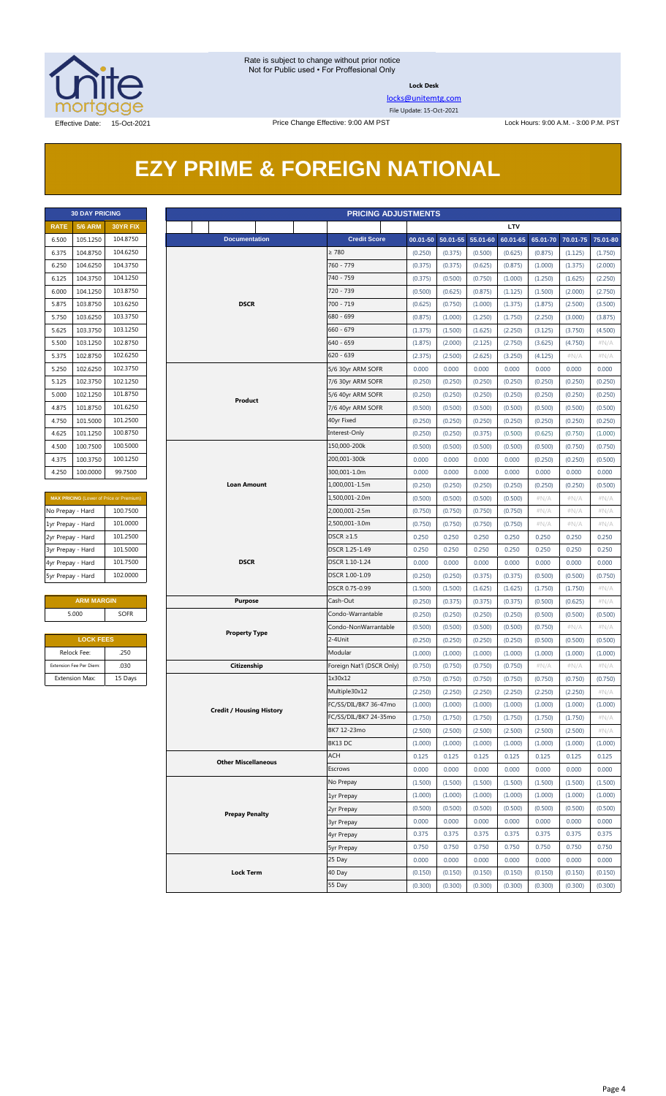

**Lock Desk**

[locks@unitemtg.com](mailto:locks@unitemtg.com) File Update: 15-Oct-2021

## **EZY PRIME & FOREIGN NATIONAL**

| <b>30 DAY PRICING</b> |                |                 |  |  |  |  |  |  |  |
|-----------------------|----------------|-----------------|--|--|--|--|--|--|--|
| <b>RATE</b>           | <b>5/6 ARM</b> | <b>30YR FIX</b> |  |  |  |  |  |  |  |
| 6.500                 | 105.1250       | 104.8750        |  |  |  |  |  |  |  |
| 6.375                 | 104.8750       | 104.6250        |  |  |  |  |  |  |  |
| 6,250                 | 104.6250       | 104.3750        |  |  |  |  |  |  |  |
| 6125                  | 104.3750       | 104.1250        |  |  |  |  |  |  |  |
| 6.000                 | 104.1250       | 103.8750        |  |  |  |  |  |  |  |
| 5.875                 | 103.8750       | 103.6250        |  |  |  |  |  |  |  |
| 5.750                 | 103.6250       | 103.3750        |  |  |  |  |  |  |  |
| 5.625                 | 103.3750       | 103.1250        |  |  |  |  |  |  |  |
| 5.500                 | 103.1250       | 102.8750        |  |  |  |  |  |  |  |
| 5.375                 | 102.8750       | 102.6250        |  |  |  |  |  |  |  |
| 5.250                 | 102.6250       | 102.3750        |  |  |  |  |  |  |  |
| 5.125                 | 102.3750       | 102.1250        |  |  |  |  |  |  |  |
| 5.000                 | 102.1250       | 101.8750        |  |  |  |  |  |  |  |
| 4.875                 | 101.8750       | 101.6250        |  |  |  |  |  |  |  |
| 4.750                 | 101.5000       | 101.2500        |  |  |  |  |  |  |  |
| 4.625                 | 101.1250       | 100.8750        |  |  |  |  |  |  |  |
| 4.500                 | 100.7500       | 100.5000        |  |  |  |  |  |  |  |
| 4.375                 | 100.3750       | 100.1250        |  |  |  |  |  |  |  |
| 4.250                 | 100.0000       | 99.7500         |  |  |  |  |  |  |  |

| <b>MAX PRICING</b> (Lower of Price or Premium) |          |  |  |  |  |  |  |
|------------------------------------------------|----------|--|--|--|--|--|--|
| No Prepay - Hard                               | 100.7500 |  |  |  |  |  |  |
| 1yr Prepay - Hard                              | 101.0000 |  |  |  |  |  |  |
| 2yr Prepay - Hard                              | 101.2500 |  |  |  |  |  |  |
| 3yr Prepay - Hard                              | 101.5000 |  |  |  |  |  |  |
| 4yr Prepay - Hard                              | 101.7500 |  |  |  |  |  |  |
| 5yr Prepay - Hard                              | 102.0000 |  |  |  |  |  |  |

#### **ARM MARGIN Purpose** Cash-Out 5.000 SOFR

| <b>LOCK FEES</b>        |         |  |  |  |  |  |
|-------------------------|---------|--|--|--|--|--|
| Relock Fee:             | .250    |  |  |  |  |  |
| Extension Fee Per Diem: | .030    |  |  |  |  |  |
| <b>Extension Max:</b>   | 15 Days |  |  |  |  |  |

| <b>30 DAY PRICING</b><br><b>PRICING ADJUSTMENTS</b> |                                        |                                                |                                 |                |                           |                    |                       |                    |                    |                    |                    |                 |
|-----------------------------------------------------|----------------------------------------|------------------------------------------------|---------------------------------|----------------|---------------------------|--------------------|-----------------------|--------------------|--------------------|--------------------|--------------------|-----------------|
| <b>RATE</b>                                         | <b>5/6 ARM</b>                         | 30YR FIX                                       |                                 |                |                           |                    |                       |                    | LTV                |                    |                    |                 |
| 6.500                                               | 105.1250                               | 104.8750                                       | <b>Documentation</b>            |                | <b>Credit Score</b>       |                    | $00.01 - 50$ 50.01-55 | 55.01-60           | 60.01-65           | 65.01-70           | 70.01-75           | 75.01-80        |
| 6.375                                               | 104.8750                               | 104.6250                                       |                                 |                | $\geq 780$                | (0.250)            | (0.375)               | (0.500)            | (0.625)            | (0.875)            | (1.125)            | (1.750)         |
| 6.250                                               | 104.6250                               | 104.3750                                       |                                 |                | 760 - 779                 | (0.375)            | (0.375)               | (0.625)            | (0.875)            | (1.000)            | (1.375)            | (2.000)         |
| 6.125                                               | 104.3750                               | 104.1250                                       |                                 |                | 740 - 759                 | (0.375)            | (0.500)               | (0.750)            | (1.000)            | (1.250)            | (1.625)            | (2.250)         |
| 6.000                                               | 104.1250                               | 103.8750                                       |                                 |                | 720 - 739                 | (0.500)            | (0.625)               | (0.875)            | (1.125)            | (1.500)            | (2.000)            | (2.750)         |
| 5.875                                               | 103.8750                               | 103.6250                                       | <b>DSCR</b>                     |                | 700 - 719                 | (0.625)            | (0.750)               | (1.000)            | (1.375)            | (1.875)            | (2.500)            | (3.500)         |
| 5.750                                               | 103.6250                               | 103.3750                                       |                                 |                | 680 - 699                 | (0.875)            | (1.000)               | (1.250)            | (1.750)            | (2.250)            | (3.000)            | (3.875)         |
| 5.625                                               | 103.3750                               | 103.1250                                       |                                 |                | $660 - 679$               | (1.375)            | (1.500)               | (1.625)            | (2.250)            | (3.125)            | (3.750)            | (4.500)         |
| 5.500                                               | 103.1250                               | 102.8750                                       |                                 |                | 640 - 659                 | (1.875)            | (2.000)               | (2.125)            | (2.750)            | (3.625)            | (4.750)            | $\#N/A$         |
| 5.375                                               | 102.8750                               | 102.6250                                       |                                 |                | $620 - 639$               | (2.375)            | (2.500)               | (2.625)            | (3.250)            | (4.125)            | #N/A               | $\#N/A$         |
| 5.250                                               | 102.6250                               | 102.3750                                       |                                 |                | 5/6 30yr ARM SOFR         | 0.000              | 0.000                 | 0.000              | 0.000              | 0.000              | 0.000              | 0.000           |
| 5.125                                               | 102.3750                               | 102.1250                                       |                                 |                | 7/6 30yr ARM SOFR         | (0.250)            | (0.250)               | (0.250)            | (0.250)            | (0.250)            | (0.250)            | (0.250)         |
| 5.000                                               | 102.1250                               | 101.8750                                       | Product                         |                | 5/6 40yr ARM SOFR         | (0.250)            | (0.250)               | (0.250)            | (0.250)            | (0.250)            | (0.250)            | (0.250)         |
| 4.875                                               | 101.8750                               | 101.6250                                       |                                 |                | 7/6 40yr ARM SOFR         | (0.500)            | (0.500)               | (0.500)            | (0.500)            | (0.500)            | (0.500)            | (0.500)         |
| 4.750                                               | 101.5000                               | 101.2500                                       |                                 |                | 40yr Fixed                | (0.250)            | (0.250)               | (0.250)            | (0.250)            | (0.250)            | (0.250)            | (0.250)         |
| 4.625                                               | 101.1250                               | 100.8750                                       |                                 |                | Interest-Only             | (0.250)            | (0.250)               | (0.375)            | (0.500)            | (0.625)            | (0.750)            | (1.000)         |
| 4.500                                               | 100.7500                               | 100.5000                                       |                                 |                | 150,000-200k              | (0.500)            | (0.500)               | (0.500)            | (0.500)            | (0.500)            | (0.750)            | (0.750)         |
| 4.375                                               | 100.3750                               | 100.1250                                       |                                 |                | 200,001-300k              | 0.000              | 0.000                 | 0.000              | 0.000              | (0.250)            | (0.250)            | (0.500)         |
| 4.250                                               | 100.0000                               | 99.7500                                        |                                 |                | 300,001-1.0m              | 0.000              | 0.000                 | 0.000              | 0.000              | 0.000              | 0.000              | 0.000           |
|                                                     |                                        |                                                | Loan Amount                     |                | 1,000,001-1.5m            | (0.250)            | (0.250)               | (0.250)            | (0.250)            | (0.250)            | (0.250)            | (0.500)         |
|                                                     |                                        | <b>MAX PRICING</b> (Lower of Price or Premium) |                                 |                | 1,500,001-2.0m            | (0.500)            | (0.500)               | (0.500)            | (0.500)            | $\#N/A$            | #N/A               | #N/A            |
| No Prepay - Hard                                    |                                        | 100.7500                                       |                                 |                | 2,000,001-2.5m            | (0.750)            | (0.750)               | (0.750)            | (0.750)            | $\#N/A$            | #N/A               | $\#N/A$         |
| 1yr Prepay - Hard                                   |                                        | 101.0000                                       |                                 |                | 2,500,001-3.0m            | (0.750)            | (0.750)               | (0.750)            | (0.750)            | $\#N/A$            | $\#N/A$            | $\#N/A$         |
| 2yr Prepay - Hard                                   |                                        | 101.2500                                       |                                 |                | DSCR $\geq$ 1.5           | 0.250              | 0.250                 | 0.250              | 0.250              | 0.250              | 0.250              | 0.250           |
| 3yr Prepay - Hard                                   |                                        | 101.5000                                       |                                 |                | DSCR 1.25-1.49            | 0.250              | 0.250                 | 0.250              | 0.250              | 0.250              | 0.250              | 0.250           |
| 4yr Prepay - Hard                                   |                                        | <b>DSCR</b><br>101.7500                        |                                 |                | DSCR 1.10-1.24            | 0.000              | 0.000                 | 0.000              | 0.000              | 0.000              | 0.000              | 0.000           |
|                                                     | 102.0000<br>5yr Prepay - Hard          |                                                |                                 | DSCR 1.00-1.09 | (0.250)                   | (0.250)            | (0.375)               | (0.375)            | (0.500)            | (0.500)            | (0.750)            |                 |
|                                                     |                                        |                                                |                                 |                | DSCR 0.75-0.99            | (1.500)            | (1.500)               | (1.625)            | (1.625)            | (1.750)            | (1.750)            | $\#N/A$         |
|                                                     | <b>ARM MARGIN</b>                      |                                                | <b>Purpose</b>                  |                | Cash-Out                  | (0.250)            | (0.375)               | (0.375)            | (0.375)            | (0.500)            | (0.625)            | $\#N/A$         |
|                                                     | 5.000                                  | SOFR                                           |                                 |                | Condo-Warrantable         | (0.250)            | (0.250)               | (0.250)            | (0.250)            | (0.500)            | (0.500)            | (0.500)         |
|                                                     |                                        |                                                | <b>Property Type</b>            |                | Condo-NonWarrantable      | (0.500)            | (0.500)               | (0.500)            | (0.500)            | (0.750)            | $\#N/A$            | #N/A            |
|                                                     | <b>LOCK FEES</b>                       |                                                |                                 |                | 2-4Unit                   | (0.250)            | (0.250)               | (0.250)            | (0.250)            | (0.500)            | (0.500)            | (0.500)         |
|                                                     | Relock Fee:<br>Extension Fee Per Diem: | .250<br>.030                                   |                                 |                | Modular                   | (1.000)            | (1.000)               | (1.000)            | (1.000)            | (1.000)            | (1.000)            | (1.000)         |
|                                                     |                                        |                                                | Citizenship                     |                | Foreign Nat'l (DSCR Only) | (0.750)            | (0.750)               | (0.750)            | (0.750)            | #N/A               | $\#N/A$            | $\#N/A$         |
|                                                     | <b>Extension Max:</b>                  | 15 Days                                        |                                 |                | 1x30x12<br>Multiple30x12  | (0.750)<br>(2.250) | (0.750)<br>(2.250)    | (0.750)<br>(2.250) | (0.750)<br>(2.250) | (0.750)<br>(2.250) | (0.750)<br>(2.250) | (0.750)<br>#N/A |
|                                                     |                                        |                                                |                                 |                | FC/SS/DIL/BK7 36-47mo     | (1.000)            | (1.000)               | (1.000)            | (1.000)            | (1.000)            | (1.000)            | (1.000)         |
|                                                     |                                        |                                                | <b>Credit / Housing History</b> |                | FC/SS/DIL/BK7 24-35mo     | (1.750)            | (1.750)               | (1.750)            | (1.750)            | (1.750)            | (1.750)            | $\#N/A$         |
|                                                     |                                        |                                                |                                 |                | BK7 12-23mo               | (2.500)            | (2.500)               | (2.500)            | (2.500)            | (2.500)            | (2.500)            | # $N/A$         |
|                                                     |                                        |                                                |                                 |                | BK13 DC                   | (1.000)            | (1.000)               | (1.000)            | (1.000)            | (1.000)            | (1.000)            | (1.000)         |
|                                                     |                                        |                                                |                                 |                | ACH                       | 0.125              | 0.125                 | 0.125              | 0.125              | 0.125              | 0.125              | 0.125           |
|                                                     |                                        |                                                | <b>Other Miscellaneous</b>      |                | Escrows                   | 0.000              | 0.000                 | 0.000              | 0.000              | 0.000              | 0.000              | 0.000           |
|                                                     |                                        |                                                |                                 |                | No Prepay                 | (1.500)            | (1.500)               | (1.500)            | (1.500)            | (1.500)            | (1.500)            | (1.500)         |
|                                                     |                                        |                                                |                                 |                | 1yr Prepay                | (1.000)            | (1.000)               | (1.000)            | (1.000)            | (1.000)            | (1.000)            | (1.000)         |
|                                                     |                                        |                                                |                                 |                | 2yr Prepay                | (0.500)            | (0.500)               | (0.500)            | (0.500)            | (0.500)            | (0.500)            | (0.500)         |
|                                                     |                                        |                                                | <b>Prepay Penalty</b>           |                | <b>3yr Prepay</b>         | 0.000              | 0.000                 | 0.000              | 0.000              | 0.000              | 0.000              | 0.000           |
|                                                     |                                        |                                                |                                 |                | 4yr Prepay                | 0.375              | 0.375                 | 0.375              | 0.375              | 0.375              | 0.375              | 0.375           |
|                                                     |                                        |                                                |                                 |                | <b>5yr Prepay</b>         | 0.750              | 0.750                 | 0.750              | 0.750              | 0.750              | 0.750              | 0.750           |
|                                                     |                                        |                                                |                                 |                | 25 Day                    | 0.000              | 0.000                 | 0.000              | 0.000              | 0.000              | 0.000              | 0.000           |
|                                                     |                                        |                                                | <b>Lock Term</b>                |                | 40 Day                    | (0.150)            | (0.150)               | (0.150)            | (0.150)            | (0.150)            | (0.150)            | (0.150)         |
|                                                     |                                        |                                                |                                 |                | 55 Day                    | (0.300)            | (0.300)               | (0.300)            | (0.300)            | (0.300)            | (0.300)            | (0.300)         |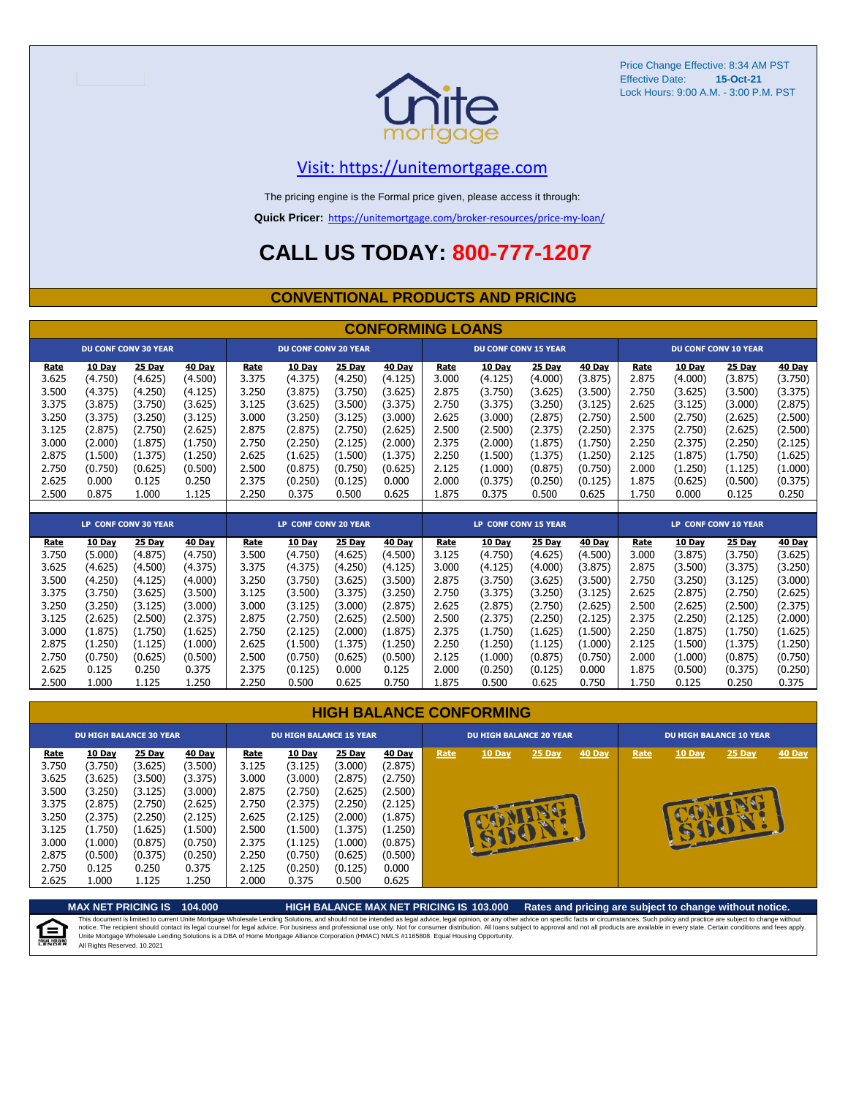

Price Change Effective: 8:34 AM PST Effective Date: Lock Hours: 9:00 A.M. - 3:00 P.M. PST **15-Oct-21**

#### [V](https://unitemortgage.com/)isit: https://unitemortgage.com

The pricing engine is the Formal price given, please access it through:

**Quick Pricer:** [https://un](https://unitemortgage.com/broker-resources/price-my-loan/)itemortgage.com/broker-resources/price-my-loan/

## **CALL US TODAY: 800-777-1207**

#### **CONVENTIONAL PRODUCTS AND PRICING**

|                                                                                              |                                                                                                                |                                                                                                                |                                                                                                                |                                                                                       |                                                                                                                  |                                                                                                           | <b>CONFORMING LOANS</b>                                                                                        |                                                                                              |                                                                                                                  |                                                                                                           |                                                                                                                  |                                                                                       |                                                                                                                  |                                                                                                           |                                                                                                                  |
|----------------------------------------------------------------------------------------------|----------------------------------------------------------------------------------------------------------------|----------------------------------------------------------------------------------------------------------------|----------------------------------------------------------------------------------------------------------------|---------------------------------------------------------------------------------------|------------------------------------------------------------------------------------------------------------------|-----------------------------------------------------------------------------------------------------------|----------------------------------------------------------------------------------------------------------------|----------------------------------------------------------------------------------------------|------------------------------------------------------------------------------------------------------------------|-----------------------------------------------------------------------------------------------------------|------------------------------------------------------------------------------------------------------------------|---------------------------------------------------------------------------------------|------------------------------------------------------------------------------------------------------------------|-----------------------------------------------------------------------------------------------------------|------------------------------------------------------------------------------------------------------------------|
|                                                                                              |                                                                                                                | <b>DU CONF CONV 30 YEAR</b>                                                                                    |                                                                                                                |                                                                                       | <b>DU CONF CONV 20 YEAR</b>                                                                                      |                                                                                                           |                                                                                                                |                                                                                              | <b>DU CONF CONV 15 YEAR</b>                                                                                      |                                                                                                           |                                                                                                                  |                                                                                       |                                                                                                                  | <b>DU CONF CONV 10 YEAR</b>                                                                               |                                                                                                                  |
| <u>Rate</u><br>3.625<br>3.500<br>3.375<br>3.250<br>3.125<br>3.000<br>2.875<br>2.750<br>2.625 | <b>10 Day</b><br>(4.750)<br>(4.375)<br>(3.875)<br>(3.375)<br>(2.875)<br>(2.000)<br>(1.500)<br>(0.750)<br>0.000 | <b>25 Day</b><br>(4.625)<br>(4.250)<br>(3.750)<br>(3.250)<br>(2.750)<br>(1.875)<br>(1.375)<br>(0.625)<br>0.125 | <b>40 Day</b><br>(4.500)<br>(4.125)<br>(3.625)<br>(3.125)<br>(2.625)<br>(1.750)<br>(1.250)<br>(0.500)<br>0.250 | Rate<br>3.375<br>3.250<br>3.125<br>3.000<br>2.875<br>2.750<br>2.625<br>2.500<br>2.375 | <b>10 Day</b><br>(4.375)<br>(3.875)<br>(3.625)<br>(3.250)<br>(2.875)<br>(2.250)<br>(1.625)<br>(0.875)<br>(0.250) | 25 Day<br>(4.250)<br>(3.750)<br>(3.500)<br>(3.125)<br>(2.750)<br>(2.125)<br>(1.500)<br>(0.750)<br>(0.125) | <b>40 Day</b><br>(4.125)<br>(3.625)<br>(3.375)<br>(3.000)<br>(2.625)<br>(2.000)<br>(1.375)<br>(0.625)<br>0.000 | <b>Rate</b><br>3.000<br>2.875<br>2.750<br>2.625<br>2.500<br>2.375<br>2.250<br>2.125<br>2.000 | <b>10 Day</b><br>(4.125)<br>(3.750)<br>(3.375)<br>(3.000)<br>(2.500)<br>(2.000)<br>(1.500)<br>(1.000)<br>(0.375) | 25 Day<br>(4.000)<br>(3.625)<br>(3.250)<br>(2.875)<br>(2.375)<br>(1.875)<br>(1.375)<br>(0.875)<br>(0.250) | <b>40 Day</b><br>(3.875)<br>(3.500)<br>(3.125)<br>(2.750)<br>(2.250)<br>(1.750)<br>(1.250)<br>(0.750)<br>(0.125) | Rate<br>2.875<br>2.750<br>2.625<br>2.500<br>2.375<br>2.250<br>2.125<br>2.000<br>1.875 | <b>10 Day</b><br>(4.000)<br>(3.625)<br>(3.125)<br>(2.750)<br>(2.750)<br>(2.375)<br>(1.875)<br>(1.250)<br>(0.625) | 25 Day<br>(3.875)<br>(3.500)<br>(3.000)<br>(2.625)<br>(2.625)<br>(2.250)<br>(1.750)<br>(1.125)<br>(0.500) | <b>40 Day</b><br>(3.750)<br>(3.375)<br>(2.875)<br>(2.500)<br>(2.500)<br>(2.125)<br>(1.625)<br>(1.000)<br>(0.375) |
| 2.500                                                                                        | 0.875                                                                                                          | 1.000                                                                                                          | 1.125                                                                                                          | 2.250                                                                                 | 0.375                                                                                                            | 0.500                                                                                                     | 0.625                                                                                                          | 1.875                                                                                        | 0.375                                                                                                            | 0.500                                                                                                     | 0.625                                                                                                            | 1.750                                                                                 | 0.000                                                                                                            | 0.125                                                                                                     | 0.250                                                                                                            |
|                                                                                              |                                                                                                                |                                                                                                                |                                                                                                                |                                                                                       |                                                                                                                  |                                                                                                           |                                                                                                                |                                                                                              |                                                                                                                  |                                                                                                           |                                                                                                                  |                                                                                       |                                                                                                                  |                                                                                                           |                                                                                                                  |
|                                                                                              |                                                                                                                | <b>LP CONF CONV 30 YEAR</b>                                                                                    |                                                                                                                |                                                                                       | <b>LP CONF CONV 20 YEAR</b>                                                                                      |                                                                                                           |                                                                                                                |                                                                                              | LP CONF CONV 15 YEAR                                                                                             |                                                                                                           |                                                                                                                  |                                                                                       |                                                                                                                  | <b>LP CONF CONV 10 YEAR</b>                                                                               |                                                                                                                  |
| Rate<br>3.750<br>3.625<br>3.500<br>3.375<br>3.250                                            | <b>10 Day</b><br>(5.000)<br>(4.625)<br>(4.250)<br>(3.750)<br>(3.250)                                           | 25 Day<br>(4.875)<br>(4.500)<br>(4.125)<br>(3.625)<br>(3.125)                                                  | 40 Day<br>(4.750)<br>(4.375)<br>(4.000)<br>(3.500)<br>(3.000)                                                  | Rate<br>3.500<br>3.375<br>3.250<br>3.125<br>3.000                                     | 10 Day<br>(4.750)<br>(4.375)<br>(3.750)<br>(3.500)<br>(3.125)                                                    | 25 Day<br>(4.625)<br>(4.250)<br>(3.625)<br>(3.375)<br>(3.000)                                             | 40 Day<br>(4.500)<br>(4.125)<br>(3.500)<br>(3.250)<br>(2.875)                                                  | Rate<br>3.125<br>3.000<br>2.875<br>2.750<br>2.625                                            | 10 Day<br>(4.750)<br>(4.125)<br>(3.750)<br>(3.375)<br>(2.875)                                                    | <b>25 Day</b><br>(4.625)<br>(4.000)<br>(3.625)<br>(3.250)<br>(2.750)                                      | 40 Day<br>(4.500)<br>(3.875)<br>(3.500)<br>(3.125)<br>(2.625)                                                    | Rate<br>3.000<br>2.875<br>2.750<br>2.625<br>2.500                                     | <b>10 Day</b><br>(3.875)<br>(3.500)<br>(3.250)<br>(2.875)<br>(2.625)                                             | <b>25 Day</b><br>(3.750)<br>(3.375)<br>(3.125)<br>(2.750)<br>(2.500)                                      | <b>40 Day</b><br>(3.625)<br>(3.250)<br>(3.000)<br>(2.625)<br>(2.375)                                             |
| 3.125                                                                                        | (2.625)                                                                                                        | (2.500)                                                                                                        | (2.375)                                                                                                        | 2.875                                                                                 | (2.750)                                                                                                          | (2.625)                                                                                                   | (2.500)                                                                                                        | 2.500                                                                                        | (2.375)                                                                                                          | (2.250)                                                                                                   | (2.125)                                                                                                          | 2.375                                                                                 | (2.250)                                                                                                          | (2.125)                                                                                                   | (2.000)                                                                                                          |

#### 3.125 (2.625) (2.500) (2.375) 2.875 (2.750) (2.625) (2.500) 2.500 (2.375) (2.250) (2.125) 2.375 (2.250) (2.125) (2.000) 3.000 (1.875) (1.750) (1.625) 2.750 (2.125) (2.000) (1.875) 2.375 (1.750) (1.625) (1.500) 2.250 (1.875) (1.750) (1.625) 2.875 (1.250) (1.125) (1.000) 2.625 (1.500) (1.375) (1.250) 2.250 (1.250) (1.125) (1.000) 2.125 (1.500) (1.375) (1.250) 2.750 (0.750) (0.625) (0.500) 2.500 (0.750) (0.625) (0.500) 2.125 (1.000) (0.875) (0.750) 2.000 (1.000) (0.875) (0.750) 2.625 0.125 0.250 0.375 2.375 (0.125) 0.000 0.125 2.000 (0.250) (0.125) 0.000 1.875 (0.500) (0.375) (0.250) 2.500 1.000 1.125 1.250 2.250 0.500 0.625 0.750 1.875 0.500 0.625 0.750 1.750 0.125 0.250 0.375

|                                                                                                | <b>HIGH BALANCE CONFORMING</b>                                                                                   |                                                                                                                  |                                                                                                                         |                                                                                                |                                                                                                                           |                                                                                                                    |                                                                                                                         |      |                                |               |        |                                |        |        |               |
|------------------------------------------------------------------------------------------------|------------------------------------------------------------------------------------------------------------------|------------------------------------------------------------------------------------------------------------------|-------------------------------------------------------------------------------------------------------------------------|------------------------------------------------------------------------------------------------|---------------------------------------------------------------------------------------------------------------------------|--------------------------------------------------------------------------------------------------------------------|-------------------------------------------------------------------------------------------------------------------------|------|--------------------------------|---------------|--------|--------------------------------|--------|--------|---------------|
|                                                                                                |                                                                                                                  | <b>DU HIGH BALANCE 30 YEAR</b>                                                                                   |                                                                                                                         |                                                                                                | <b>DU HIGH BALANCE 15 YEAR</b>                                                                                            |                                                                                                                    |                                                                                                                         |      | <b>DU HIGH BALANCE 20 YEAR</b> |               |        | <b>DU HIGH BALANCE 10 YEAR</b> |        |        |               |
| Rate<br>3.750<br>3.625<br>3.500<br>3.375<br>3.250<br>3.125<br>3.000<br>2.875<br>2.750<br>2.625 | 10 Day<br>(3.750)<br>(3.625)<br>(3.250)<br>(2.875)<br>(2.375)<br>(1.750)<br>(1.000)<br>(0.500)<br>0.125<br>1.000 | 25 Day<br>(3.625)<br>(3.500)<br>(3.125)<br>(2.750)<br>(2.250)<br>(1.625)<br>(0.875)<br>(0.375)<br>0.250<br>1.125 | <b>40 Day</b><br>(3.500)<br>(3.375)<br>(3.000)<br>(2.625)<br>(2.125)<br>(1.500)<br>(0.750)<br>(0.250)<br>0.375<br>1.250 | Rate<br>3.125<br>3.000<br>2.875<br>2.750<br>2.625<br>2.500<br>2.375<br>2.250<br>2.125<br>2.000 | <b>10 Day</b><br>(3.125)<br>(3.000)<br>(2.750)<br>(2.375)<br>(2.125)<br>(1.500)<br>(1.125)<br>(0.750)<br>(0.250)<br>0.375 | 25 Day<br>(3.000)<br>(2.875)<br>(2.625)<br>(2.250)<br>(2.000)<br>(1.375)<br>(1.000)<br>(0.625)<br>(0.125)<br>0.500 | <b>40 Day</b><br>(2.875)<br>(2.750)<br>(2.500)<br>(2.125)<br>(1.875)<br>(1.250)<br>(0.875)<br>(0.500)<br>0.000<br>0.625 | Rate | 10 Day                         | <b>25 Day</b> | 40 Day | Rate                           | 10 Day | 25 Day | <b>40 Day</b> |

**MAX NET PRICING IS 104.000 HIGH BALANCE MAX NET PRICING IS 103.000 Rates and pricing are subject to change without notice.** This document is limited to current Unite Mortgage Wholesale Lending Solutions, and should not be intended as legal advice, legal opinion, or any other advice on specific facts or circumstances. Such policy and practice ar 自 All Rights Reserved. 10.2021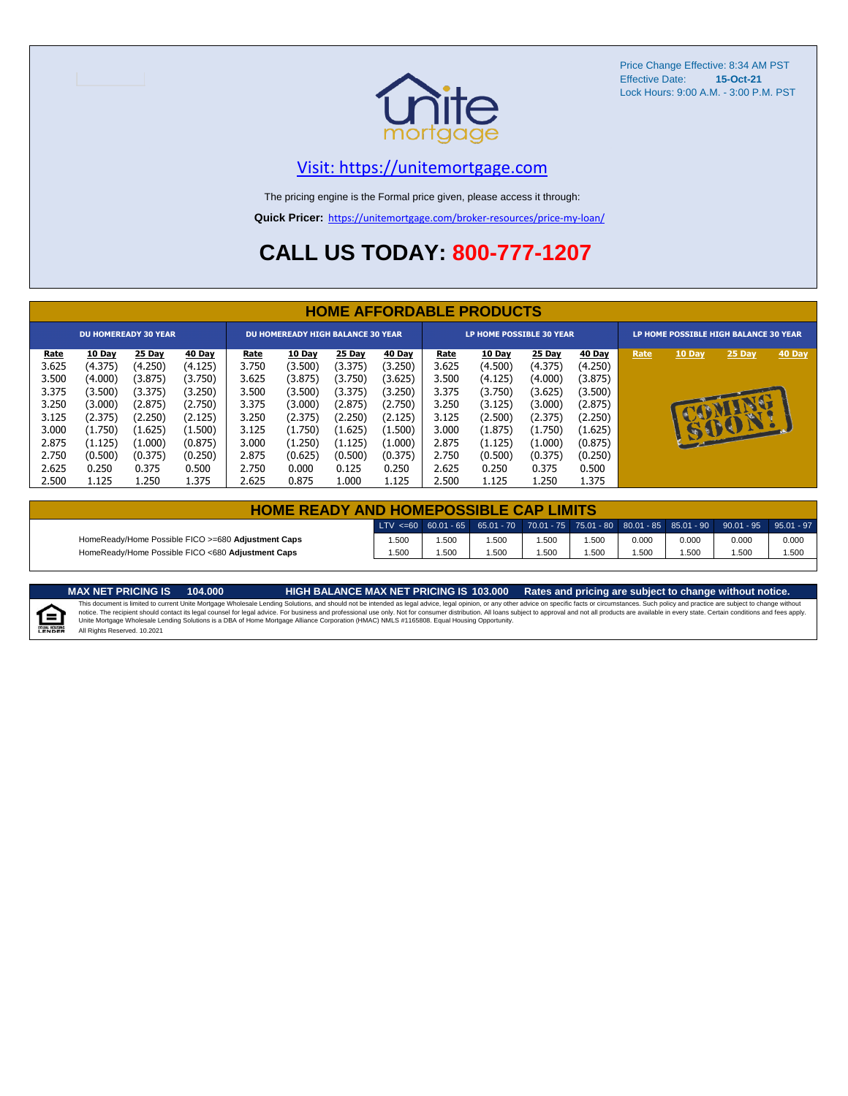

Price Change Effective: 8:34 AM PST Effective Date: **15-Oct-21** Lock Hours: 9:00 A.M. - 3:00 P.M. PST

#### [V](https://unitemortgage.com/)isit: https://unitemortgage.com

The pricing engine is the Formal price given, please access it through:

**Quick Pricer:** [https://un](https://unitemortgage.com/broker-resources/price-my-loan/)itemortgage.com/broker-resources/price-my-loan/

## **CALL US TODAY: 800-777-1207**

|             | <b>HOME AFFORDABLE PRODUCTS</b> |                             |         |             |                                          |         |         |             |                                 |         |         |                                       |              |              |        |
|-------------|---------------------------------|-----------------------------|---------|-------------|------------------------------------------|---------|---------|-------------|---------------------------------|---------|---------|---------------------------------------|--------------|--------------|--------|
|             |                                 | <b>DU HOMEREADY 30 YEAR</b> |         |             | <b>DU HOMEREADY HIGH BALANCE 30 YEAR</b> |         |         |             | <b>LP HOME POSSIBLE 30 YEAR</b> |         |         | LP HOME POSSIBLE HIGH BALANCE 30 YEAR |              |              |        |
| <u>Rate</u> | 10 Day                          | 25 Day                      | 40 Day  | <u>Rate</u> | <b>10 Day</b>                            | 25 Day  | 40 Day  | <u>Rate</u> | <b>10 Day</b>                   | 25 Day  | 40 Day  | Rate                                  | 10 Day       | 25 Day       | 40 Day |
| 3.625       | (4.375)                         | (4.250)                     | (4.125) | 3.750       | (3.500)                                  | (3.375) | (3.250) | 3.625       | (4.500)                         | (4.375) | (4.250) |                                       |              |              |        |
| 3.500       | (4.000)                         | (3.875)                     | (3.750) | 3.625       | (3.875)                                  | (3.750) | (3.625) | 3.500       | (4.125)                         | (4.000) | (3.875) |                                       |              |              |        |
| 3.375       | (3.500)                         | (3.375)                     | (3.250) | 3.500       | (3.500)                                  | (3.375) | (3.250) | 3.375       | (3.750)                         | (3.625) | (3.500) |                                       |              |              |        |
| 3.250       | (3.000)                         | (2.875)                     | (2.750) | 3.375       | (3.000)                                  | (2.875) | (2.750) | 3.250       | (3.125)                         | (3.000) | (2.875) |                                       |              |              |        |
| 3.125       | (2.375)                         | (2.250)                     | (2.125) | 3.250       | (2.375)                                  | (2.250) | (2.125) | 3.125       | (2.500)                         | (2.375) | (2.250) |                                       |              |              |        |
| 3.000       | (1.750)                         | (1.625)                     | (1.500) | 3.125       | (1.750)                                  | (1.625) | (1.500) | 3.000       | (1.875)                         | (1.750) | (1.625) |                                       | $\mathbf{F}$ | $\mathbf{P}$ |        |
| 2.875       | (1.125)                         | (1.000)                     | (0.875) | 3.000       | (1.250)                                  | (1.125) | (1.000) | 2.875       | (1.125)                         | (1.000) | (0.875) |                                       |              |              |        |
| 2.750       | (0.500)                         | (0.375)                     | (0.250) | 2.875       | (0.625)                                  | (0.500) | (0.375) | 2.750       | (0.500)                         | (0.375) | (0.250) |                                       |              |              |        |
| 2.625       | 0.250                           | 0.375                       | 0.500   | 2.750       | 0.000                                    | 0.125   | 0.250   | 2.625       | 0.250                           | 0.375   | 0.500   |                                       |              |              |        |
| 2.500       | 1.125                           | 1.250                       | 1.375   | 2.625       | 0.875                                    | 1.000   | 1.125   | 2.500       | 1.125                           | 1.250   | 1.375   |                                       |              |              |        |

| <b>HOME READY AND HOMEPOSSIBLE CAP LIMITS</b>      |      |      |       |      |      |       |       |                                                                                             |               |  |  |
|----------------------------------------------------|------|------|-------|------|------|-------|-------|---------------------------------------------------------------------------------------------|---------------|--|--|
|                                                    |      |      |       |      |      |       |       | LTV $\leq$ =60 60.01 - 65 65.01 - 70 70.01 - 75 75.01 - 80 80.01 - 85 85.01 - 90 90.01 - 95 | $95.01 - 971$ |  |  |
| HomeReady/Home Possible FICO >=680 Adjustment Caps | .500 | .500 | 1.500 | .500 | .500 | 0.000 | 0.000 | 0.000                                                                                       | 0.000         |  |  |
| HomeReady/Home Possible FICO <680 Adjustment Caps  | .500 | .500 | 1.500 | .500 | .500 | .500  | .500  | .500                                                                                        | 1.500         |  |  |

MAX NET PRICING IS 103.000 Rates and pricing are subject to change without notice.<br>This document is limited to current Unite Mortgage Wholesale Lending Solutions, and should not be intended as legal advice, legal opinion,

All Rights Reserved. 10.2021

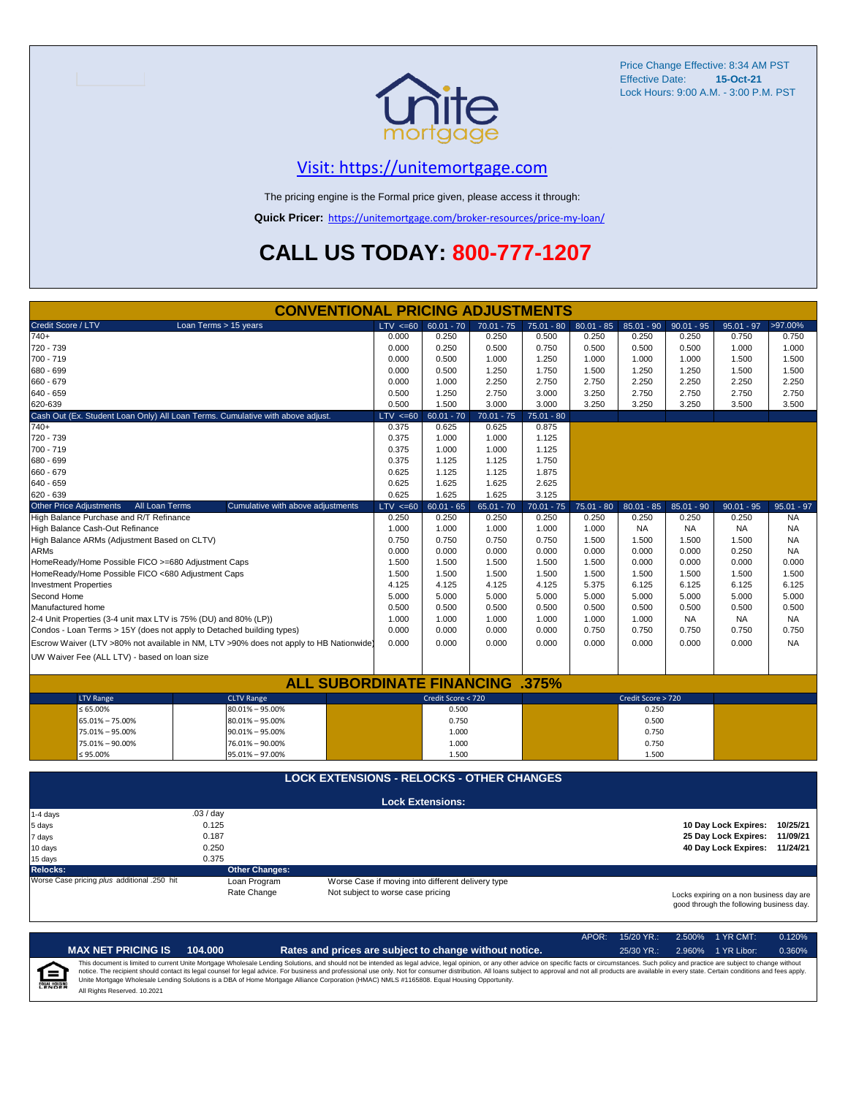

Price Change Effective: 8:34 AM PST Effective Date: **15-Oct-21** Lock Hours: 9:00 A.M. - 3:00 P.M. PST

#### [V](https://unitemortgage.com/)isit: https://unitemortgage.com

The pricing engine is the Formal price given, please access it through:

**Quick Pricer:** [https://un](https://unitemortgage.com/broker-resources/price-my-loan/)itemortgage.com/broker-resources/price-my-loan/

## **CALL US TODAY: 800-777-1207**

|                                                                                | <b>CONVENTIONAL PRICING ADJUSTMENTS</b>                                                |                                   |                                                   |              |              |              |                    |              |                                                                                      |              |
|--------------------------------------------------------------------------------|----------------------------------------------------------------------------------------|-----------------------------------|---------------------------------------------------|--------------|--------------|--------------|--------------------|--------------|--------------------------------------------------------------------------------------|--------------|
| Credit Score / LTV                                                             | Loan Terms > 15 years                                                                  | $LTV \le 60$                      | $60.01 - 70$                                      | $70.01 - 75$ | $75.01 - 80$ | $80.01 - 85$ | $85.01 - 90$       | $90.01 - 95$ | $95.01 - 97$                                                                         | >97.00%      |
| $740+$                                                                         |                                                                                        | 0.000                             | 0.250                                             | 0.250        | 0.500        | 0.250        | 0.250              | 0.250        | 0.750                                                                                | 0.750        |
| 720 - 739                                                                      |                                                                                        | 0.000                             | 0.250                                             | 0.500        | 0.750        | 0.500        | 0.500              | 0.500        | 1.000                                                                                | 1.000        |
| 700 - 719                                                                      |                                                                                        | 0.000                             | 0.500                                             | 1.000        | 1.250        | 1.000        | 1.000              | 1.000        | 1.500                                                                                | 1.500        |
| 680 - 699                                                                      |                                                                                        | 0.000                             | 0.500                                             | 1.250        | 1.750        | 1.500        | 1.250              | 1.250        | 1.500                                                                                | 1.500        |
| 660 - 679                                                                      |                                                                                        | 0.000                             | 1.000                                             | 2.250        | 2.750        | 2.750        | 2.250              | 2.250        | 2.250                                                                                | 2.250        |
| 640 - 659                                                                      |                                                                                        | 0.500                             | 1.250                                             | 2.750        | 3.000        | 3.250        | 2.750              | 2.750        | 2.750                                                                                | 2.750        |
| 620-639                                                                        |                                                                                        | 0.500                             | 1.500                                             | 3.000        | 3.000        | 3.250        | 3.250              | 3.250        | 3.500                                                                                | 3.500        |
| Cash Out (Ex. Student Loan Only) All Loan Terms. Cumulative with above adjust. |                                                                                        | $LTV \le 60$                      | $60.01 - 70$                                      | $70.01 - 75$ | $75.01 - 80$ |              |                    |              |                                                                                      |              |
| $740+$                                                                         |                                                                                        | 0.375                             | 0.625                                             | 0.625        | 0.875        |              |                    |              |                                                                                      |              |
| 720 - 739                                                                      |                                                                                        | 0.375                             | 1.000                                             | 1.000        | 1.125        |              |                    |              |                                                                                      |              |
| 700 - 719                                                                      |                                                                                        | 0.375                             | 1.000                                             | 1.000        | 1.125        |              |                    |              |                                                                                      |              |
| 680 - 699                                                                      |                                                                                        | 0.375                             | 1.125                                             | 1.125        | 1.750        |              |                    |              |                                                                                      |              |
| 660 - 679                                                                      |                                                                                        | 0.625                             | 1.125                                             | 1.125        | 1.875        |              |                    |              |                                                                                      |              |
| 640 - 659                                                                      |                                                                                        | 0.625                             | 1.625                                             | 1.625        | 2.625        |              |                    |              |                                                                                      |              |
| 620 - 639                                                                      |                                                                                        | 0.625                             | 1.625                                             | 1.625        | 3.125        |              |                    |              |                                                                                      |              |
| <b>Other Price Adjustments</b><br>All Loan Terms                               | Cumulative with above adjustments                                                      | $LTV \le 60$                      | $60.01 - 65$                                      | $65.01 - 70$ | $70.01 - 75$ | $75.01 - 80$ | $80.01 - 85$       | $85.01 - 90$ | $90.01 - 95$                                                                         | $95.01 - 97$ |
| High Balance Purchase and R/T Refinance                                        |                                                                                        | 0.250                             | 0.250                                             | 0.250        | 0.250        | 0.250        | 0.250              | 0.250        | 0.250                                                                                | <b>NA</b>    |
| High Balance Cash-Out Refinance                                                |                                                                                        | 1.000                             | 1.000                                             | 1.000        | 1.000        | 1.000        | <b>NA</b>          | <b>NA</b>    | <b>NA</b>                                                                            | <b>NA</b>    |
| High Balance ARMs (Adjustment Based on CLTV)                                   |                                                                                        | 0.750                             | 0.750                                             | 0.750        | 0.750        | 1.500        | 1.500              | 1.500        | 1.500                                                                                | <b>NA</b>    |
| <b>ARMs</b>                                                                    |                                                                                        | 0.000                             | 0.000                                             | 0.000        | 0.000        | 0.000        | 0.000              | 0.000        | 0.250                                                                                | NA           |
| HomeReady/Home Possible FICO >=680 Adjustment Caps                             |                                                                                        | 1.500                             | 1.500                                             | 1.500        | 1.500        | 1.500        | 0.000              | 0.000        | 0.000                                                                                | 0.000        |
| HomeReady/Home Possible FICO <680 Adjustment Caps                              |                                                                                        | 1.500                             | 1.500                                             | 1.500        | 1.500        | 1.500        | 1.500              | 1.500        | 1.500                                                                                | 1.500        |
| <b>Investment Properties</b>                                                   |                                                                                        | 4.125                             | 4.125                                             | 4.125        | 4.125        | 5.375        | 6.125              | 6.125        | 6.125                                                                                | 6.125        |
| Second Home                                                                    |                                                                                        | 5.000                             | 5.000                                             | 5.000        | 5.000        | 5.000        | 5.000              | 5.000        | 5.000                                                                                | 5.000        |
| Manufactured home                                                              |                                                                                        | 0.500                             | 0.500                                             | 0.500        | 0.500        | 0.500        | 0.500              | 0.500        | 0.500                                                                                | 0.500        |
| 2-4 Unit Properties (3-4 unit max LTV is 75% (DU) and 80% (LP))                |                                                                                        | 1.000                             | 1.000                                             | 1.000        | 1.000        | 1.000        | 1.000              | <b>NA</b>    | <b>NA</b>                                                                            | <b>NA</b>    |
| Condos - Loan Terms > 15Y (does not apply to Detached building types)          |                                                                                        | 0.000                             | 0.000                                             | 0.000        | 0.000        | 0.750        | 0.750              | 0.750        | 0.750                                                                                | 0.750        |
|                                                                                |                                                                                        |                                   |                                                   |              |              |              |                    |              |                                                                                      |              |
|                                                                                | Escrow Waiver (LTV >80% not available in NM, LTV >90% does not apply to HB Nationwide) | 0.000                             | 0.000                                             | 0.000        | 0.000        | 0.000        | 0.000              | 0.000        | 0.000                                                                                | <b>NA</b>    |
| UW Waiver Fee (ALL LTV) - based on loan size                                   |                                                                                        |                                   |                                                   |              |              |              |                    |              |                                                                                      |              |
|                                                                                |                                                                                        |                                   |                                                   |              |              |              |                    |              |                                                                                      |              |
|                                                                                | <b>ALL SUBORDINATE FINANCING .375%</b>                                                 |                                   |                                                   |              |              |              |                    |              |                                                                                      |              |
| <b>LTV Range</b>                                                               | <b>CLTV Range</b>                                                                      |                                   | Credit Score < 720                                |              |              |              | Credit Score > 720 |              |                                                                                      |              |
| $\leq 65.00\%$                                                                 | 80.01% - 95.00%                                                                        |                                   | 0.500                                             |              |              |              | 0.250              |              |                                                                                      |              |
| 65.01% - 75.00%                                                                | $80.01\% - 95.00\%$                                                                    |                                   | 0.750                                             |              |              |              | 0.500              |              |                                                                                      |              |
| 75.01% - 95.00%                                                                | $90.01\% - 95.00\%$                                                                    |                                   | 1.000                                             |              |              |              | 0.750              |              |                                                                                      |              |
| 75.01% - 90.00%                                                                | 76.01% - 90.00%                                                                        |                                   | 1.000                                             |              |              |              | 0.750              |              |                                                                                      |              |
| $≤ 95.00\%$                                                                    | 95.01% - 97.00%                                                                        |                                   | 1.500                                             |              |              |              | 1.500              |              |                                                                                      |              |
|                                                                                | <b>LOCK EXTENSIONS - RELOCKS - OTHER CHANGES</b>                                       |                                   |                                                   |              |              |              |                    |              |                                                                                      |              |
|                                                                                |                                                                                        |                                   |                                                   |              |              |              |                    |              |                                                                                      |              |
|                                                                                |                                                                                        |                                   | <b>Lock Extensions:</b>                           |              |              |              |                    |              |                                                                                      |              |
| 1-4 days                                                                       | .03 / day                                                                              |                                   |                                                   |              |              |              |                    |              |                                                                                      |              |
| 5 days                                                                         | 0.125                                                                                  |                                   |                                                   |              |              |              |                    |              | 10 Day Lock Expires:                                                                 | 10/25/21     |
| 7 days                                                                         | 0.187                                                                                  |                                   |                                                   |              |              |              |                    |              | 25 Day Lock Expires:                                                                 | 11/09/21     |
| 10 days                                                                        | 0.250                                                                                  |                                   |                                                   |              |              |              |                    |              | 40 Day Lock Expires: 11/24/21                                                        |              |
| 15 days                                                                        | 0.375                                                                                  |                                   |                                                   |              |              |              |                    |              |                                                                                      |              |
| <b>Relocks:</b><br>Worse Case pricing plus additional .250 hit                 | <b>Other Changes:</b>                                                                  |                                   |                                                   |              |              |              |                    |              |                                                                                      |              |
|                                                                                | Loan Program                                                                           |                                   | Worse Case if moving into different delivery type |              |              |              |                    |              |                                                                                      |              |
|                                                                                | Rate Change                                                                            | Not subject to worse case pricing |                                                   |              |              |              |                    |              | Locks expiring on a non business day are<br>good through the following business day. |              |

|                            |                              |         |                                                                                                                                                                                                                                                                                                                                                                                                                                                                                                                                                                                                                | APOR: | $15/20$ YR.: | 2.500% 1 YR CMT:   | 0.120% |
|----------------------------|------------------------------|---------|----------------------------------------------------------------------------------------------------------------------------------------------------------------------------------------------------------------------------------------------------------------------------------------------------------------------------------------------------------------------------------------------------------------------------------------------------------------------------------------------------------------------------------------------------------------------------------------------------------------|-------|--------------|--------------------|--------|
|                            | <b>MAX NET PRICING IS</b>    | 104.000 | Rates and prices are subject to change without notice.                                                                                                                                                                                                                                                                                                                                                                                                                                                                                                                                                         |       | $25/30$ YR.: | 2.960% 1 YR Libor: | 0.360% |
| 1=<br><b>EQUAL HOUSING</b> | All Rights Reserved, 10,2021 |         | This document is limited to current Unite Mortgage Wholesale Lending Solutions, and should not be intended as legal advice, legal opinion, or any other advice on specific facts or circumstances. Such policy and practice ar<br>notice. The recipient should contact its legal counsel for legal advice. For business and professional use only. Not for consumer distribution. All loans subject to approval and not all products are available in every stat<br>Unite Mortgage Wholesale Lending Solutions is a DBA of Home Mortgage Alliance Corporation (HMAC) NMLS #1165808. Equal Housing Opportunity. |       |              |                    |        |